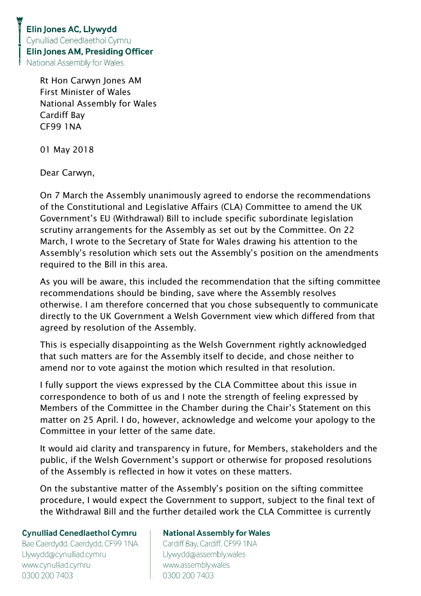Rt Hon Carwyn Jones AM First Minister of Wales National Assembly for Wales Cardiff Bay CF99 1NA

01 May 2018

Dear Carwyn,

On 7 March the Assembly unanimously agreed to endorse the recommendations of the Constitutional and Legislative Affairs (CLA) Committee to amend the UK Government's EU (Withdrawal) Bill to include specific subordinate legislation scrutiny arrangements for the Assembly as set out by the Committee. On 22 March, I wrote to the Secretary of State for Wales drawing his attention to the Assembly's resolution which sets out the Assembly's position on the amendments required to the Bill in this area.

As you will be aware, this included the recommendation that the sifting committee recommendations should be binding, save where the Assembly resolves otherwise. I am therefore concerned that you chose subsequently to communicate directly to the UK Government a Welsh Government view which differed from that agreed by resolution of the Assembly.

This is especially disappointing as the Welsh Government rightly acknowledged that such matters are for the Assembly itself to decide, and chose neither to amend nor to vote against the motion which resulted in that resolution.

I fully support the views expressed by the CLA Committee about this issue in correspondence to both of us and I note the strength of feeling expressed by Members of the Committee in the Chamber during the Chair's Statement on this matter on 25 April. I do, however, acknowledge and welcome your apology to the Committee in your letter of the same date.

It would aid clarity and transparency in future, for Members, stakeholders and the public, if the Welsh Government's support or otherwise for proposed resolutions of the Assembly is reflected in how it votes on these matters.

On the substantive matter of the Assembly's position on the sifting committee procedure, I would expect the Government to support, subject to the final text of the Withdrawal Bill and the further detailed work the CLA Committee is currently

## **Cynulliad Cenedlaethol Cymru**

Bae Caerdydd, Caerdydd, CF99 1NA Llywydd@cynulliad.cymru www.cynulliad.cymru 0300 200 7403

## **National Assembly for Wales**

Cardiff Bay, Cardiff, CF99 1NA Llywydd@assembly.wales www.assembly.wales 0300 200 7403